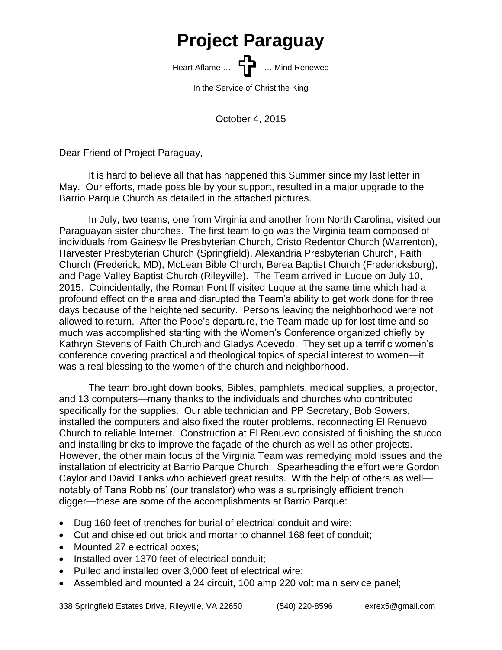## **Project Paraguay**

Heart Aflame ... **Heart Aflame** ... **Heart Aflame** ... Mind Renewed

In the Service of Christ the King

October 4, 2015

Dear Friend of Project Paraguay,

It is hard to believe all that has happened this Summer since my last letter in May. Our efforts, made possible by your support, resulted in a major upgrade to the Barrio Parque Church as detailed in the attached pictures.

In July, two teams, one from Virginia and another from North Carolina, visited our Paraguayan sister churches. The first team to go was the Virginia team composed of individuals from Gainesville Presbyterian Church, Cristo Redentor Church (Warrenton), Harvester Presbyterian Church (Springfield), Alexandria Presbyterian Church, Faith Church (Frederick, MD), McLean Bible Church, Berea Baptist Church (Fredericksburg), and Page Valley Baptist Church (Rileyville). The Team arrived in Luque on July 10, 2015. Coincidentally, the Roman Pontiff visited Luque at the same time which had a profound effect on the area and disrupted the Team's ability to get work done for three days because of the heightened security. Persons leaving the neighborhood were not allowed to return. After the Pope's departure, the Team made up for lost time and so much was accomplished starting with the Women's Conference organized chiefly by Kathryn Stevens of Faith Church and Gladys Acevedo. They set up a terrific women's conference covering practical and theological topics of special interest to women—it was a real blessing to the women of the church and neighborhood.

The team brought down books, Bibles, pamphlets, medical supplies, a projector, and 13 computers—many thanks to the individuals and churches who contributed specifically for the supplies. Our able technician and PP Secretary, Bob Sowers, installed the computers and also fixed the router problems, reconnecting El Renuevo Church to reliable Internet. Construction at El Renuevo consisted of finishing the stucco and installing bricks to improve the façade of the church as well as other projects. However, the other main focus of the Virginia Team was remedying mold issues and the installation of electricity at Barrio Parque Church. Spearheading the effort were Gordon Caylor and David Tanks who achieved great results. With the help of others as well notably of Tana Robbins' (our translator) who was a surprisingly efficient trench digger—these are some of the accomplishments at Barrio Parque:

- Dug 160 feet of trenches for burial of electrical conduit and wire;
- Cut and chiseled out brick and mortar to channel 168 feet of conduit;
- Mounted 27 electrical boxes:
- Installed over 1370 feet of electrical conduit;
- Pulled and installed over 3,000 feet of electrical wire;
- Assembled and mounted a 24 circuit, 100 amp 220 volt main service panel;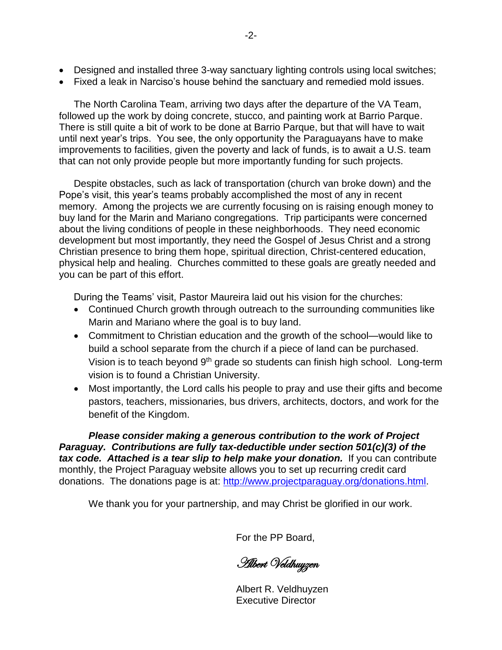- Designed and installed three 3-way sanctuary lighting controls using local switches;
- Fixed a leak in Narciso's house behind the sanctuary and remedied mold issues.

The North Carolina Team, arriving two days after the departure of the VA Team, followed up the work by doing concrete, stucco, and painting work at Barrio Parque. There is still quite a bit of work to be done at Barrio Parque, but that will have to wait until next year's trips. You see, the only opportunity the Paraguayans have to make improvements to facilities, given the poverty and lack of funds, is to await a U.S. team that can not only provide people but more importantly funding for such projects.

Despite obstacles, such as lack of transportation (church van broke down) and the Pope's visit, this year's teams probably accomplished the most of any in recent memory. Among the projects we are currently focusing on is raising enough money to buy land for the Marin and Mariano congregations. Trip participants were concerned about the living conditions of people in these neighborhoods. They need economic development but most importantly, they need the Gospel of Jesus Christ and a strong Christian presence to bring them hope, spiritual direction, Christ-centered education, physical help and healing. Churches committed to these goals are greatly needed and you can be part of this effort.

During the Teams' visit, Pastor Maureira laid out his vision for the churches:

- Continued Church growth through outreach to the surrounding communities like Marin and Mariano where the goal is to buy land.
- Commitment to Christian education and the growth of the school—would like to build a school separate from the church if a piece of land can be purchased. Vision is to teach beyond 9<sup>th</sup> grade so students can finish high school. Long-term vision is to found a Christian University.
- Most importantly, the Lord calls his people to pray and use their gifts and become pastors, teachers, missionaries, bus drivers, architects, doctors, and work for the benefit of the Kingdom.

*Please consider making a generous contribution to the work of Project Paraguay. Contributions are fully tax-deductible under section 501(c)(3) of the tax code. Attached is a tear slip to help make your donation.* If you can contribute monthly, the Project Paraguay website allows you to set up recurring credit card donations. The donations page is at: [http://www.projectparaguay.org/donations.html.](http://www.projectparaguay.org/donations.html)

We thank you for your partnership, and may Christ be glorified in our work.

For the PP Board,

Albert Veldhuyzen

Albert R. Veldhuyzen Executive Director